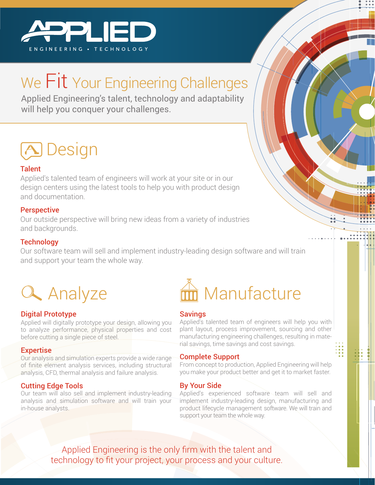

# We Fit Your Engineering Challenges

Applied Engineering's talent, technology and adaptability will help you conquer your challenges.

## **A** Design

#### **Talent**

Applied's talented team of engineers will work at your site or in our design centers using the latest tools to help you with product design and documentation.

#### Perspective

Our outside perspective will bring new ideas from a variety of industries and backgrounds.

#### **Technology**

Our software team will sell and implement industry-leading design software and will train and support your team the whole way.



#### Digital Prototype

Applied will digitally prototype your design, allowing you to analyze performance, physical properties and cost before cutting a single piece of steel.

#### **Expertise**

Our analysis and simulation experts provide a wide range of finite element analysis services, including structural analysis, CFD, thermal analysis and failure analysis.

#### Cutting Edge Tools

Our team will also sell and implement industry-leading analysis and simulation software and will train your in-house analysts.



#### **Savings**

Applied's talented team of engineers will help you with plant layout, process improvement, sourcing and other manufacturing engineering challenges, resulting in material savings, time savings and cost savings.

#### Complete Support

From concept to production, Applied Engineering will help you make your product better and get it to market faster.

#### By Your Side

Applied's experienced software team will sell and implement industry-leading design, manufacturing and product lifecycle management software. We will train and support your team the whole way.

Applied Engineering is the only firm with the talent and technology to fit your project, your process and your culture.